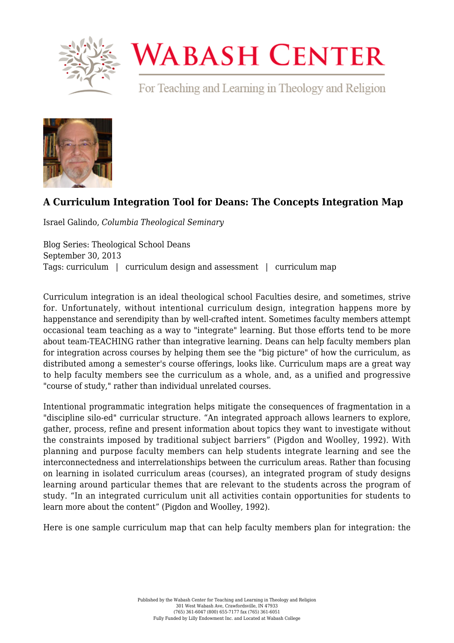

## **WABASH CENTER**

For Teaching and Learning in Theology and Religion



## **[A Curriculum Integration Tool for Deans: The Concepts Integration Map](https://www.wabashcenter.wabash.edu/2013/09/a-curriculum-integration-tool-for-deans-the-concepts-integration-map/)**

Israel Galindo, *Columbia Theological Seminary*

Blog Series: Theological School Deans September 30, 2013 Tags: curriculum | curriculum design and assessment | curriculum map

Curriculum integration is an ideal theological school Faculties desire, and sometimes, strive for. Unfortunately, without intentional curriculum design, integration happens more by happenstance and serendipity than by well-crafted intent. Sometimes faculty members attempt occasional team teaching as a way to "integrate" learning. But those efforts tend to be more about team-TEACHING rather than integrative learning. Deans can help faculty members plan for integration across courses by helping them see the "big picture" of how the curriculum, as distributed among a semester's course offerings, looks like. Curriculum maps are a great way to help faculty members see the curriculum as a whole, and, as a unified and progressive "course of study," rather than individual unrelated courses.

Intentional programmatic integration helps mitigate the consequences of fragmentation in a "discipline silo-ed" curricular structure. "An integrated approach allows learners to explore, gather, process, refine and present information about topics they want to investigate without the constraints imposed by traditional subject barriers" (Pigdon and Woolley, 1992). With planning and purpose faculty members can help students integrate learning and see the interconnectedness and interrelationships between the curriculum areas. Rather than focusing on learning in isolated curriculum areas (courses), an integrated program of study designs learning around particular themes that are relevant to the students across the program of study. "In an integrated curriculum unit all activities contain opportunities for students to learn more about the content" (Pigdon and Woolley, 1992).

Here is one sample curriculum map that can help faculty members plan for integration: the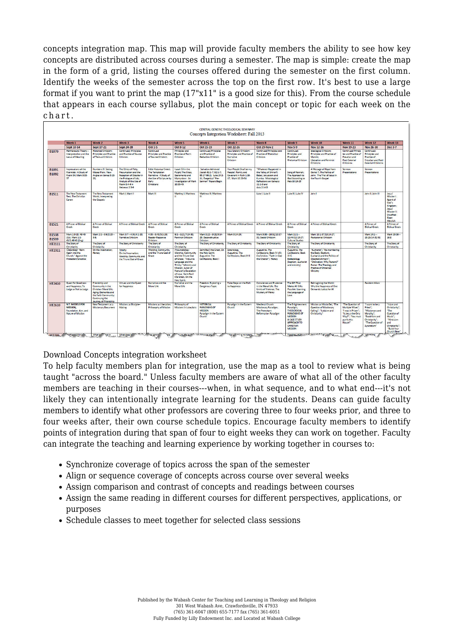concepts integration map. This map will provide faculty members the ability to see how key concepts are distributed across courses during a semester. The map is simple: create the map in the form of a grid, listing the courses offered during the semester on the first column. Identify the weeks of the semester across the top on the first row. It's best to use a large format if you want to print the map (17"x11" is a good size for this). From the course schedule that appears in each course syllabus, plot the main concept or topic for each week on the chart.

|                              | Week <sub>1</sub>                                                                         | Week 2                                                                                                                                                | Week 3                                                                                                                                                       | Week 4                                                                                                                | Week 5                                                                                                                                                                                                                                         | Week 6                                                                                                                          | Week 7                                                                                        | Week 8                                                                                                                                                          | Week 9                                                                                                                                                      | Week <sub>10</sub>                                                                                                                                                                                           | Week 11                                                                                                                        | Week <sub>12</sub>                                                                                                                          | Week <sub>13</sub>                                                                                                                        |
|------------------------------|-------------------------------------------------------------------------------------------|-------------------------------------------------------------------------------------------------------------------------------------------------------|--------------------------------------------------------------------------------------------------------------------------------------------------------------|-----------------------------------------------------------------------------------------------------------------------|------------------------------------------------------------------------------------------------------------------------------------------------------------------------------------------------------------------------------------------------|---------------------------------------------------------------------------------------------------------------------------------|-----------------------------------------------------------------------------------------------|-----------------------------------------------------------------------------------------------------------------------------------------------------------------|-------------------------------------------------------------------------------------------------------------------------------------------------------------|--------------------------------------------------------------------------------------------------------------------------------------------------------------------------------------------------------------|--------------------------------------------------------------------------------------------------------------------------------|---------------------------------------------------------------------------------------------------------------------------------------------|-------------------------------------------------------------------------------------------------------------------------------------------|
|                              | <b>Sept 10-14</b>                                                                         | <b>Sept 17-21</b>                                                                                                                                     | <b>Sept 24-28</b>                                                                                                                                            | $0a1-5$                                                                                                               | Oct 8-12                                                                                                                                                                                                                                       | Oct 15-19                                                                                                                       | Oct 22-26                                                                                     | <b>Oct 29-Nov 2</b>                                                                                                                                             | <b>Nov 5-9</b>                                                                                                                                              | <b>Nov 12-16</b>                                                                                                                                                                                             | Nov 19-23                                                                                                                      | <b>Nov 26-30</b>                                                                                                                            | Dec 3-7                                                                                                                                   |
| <b>B1070</b>                 | Hermeneutic Theory-<br>Interpretation and the<br>Locus of Meaning                         | <b>Historical Criticism:</b><br><b>Principles and Practice</b><br>of Textual Criticism                                                                | Continued/ Principles<br>and Practice of Source<br>Criticism                                                                                                 | Continued<br><b>Principles and Practice</b><br>of Source Criticism                                                    | Principles and<br><b>Practice of Form</b><br>Criticism                                                                                                                                                                                         | Continued/Principles<br>and Practice of<br><b>Redaction Criticism</b>                                                           | <b>New Literary Criticism:</b><br><b>Principles and Practice of</b><br>Narrative<br>Criticism | Continued/Principles and<br><b>Practice of Rhetorical</b><br>Criticism                                                                                          | Continued:<br>Principles and<br>Practice of<br><b>Rhetorical Criticism</b>                                                                                  | <b>Ideological Criticism:</b><br>Principles and Practice of<br>Marviet.<br><b>Liberation and Feminist</b><br>Criticisms                                                                                      | Continued/Princip<br>les and Practice of<br>Freudian and<br><b>Post-Colonial</b><br>Criticisms                                 | <b>Continued:</b><br>Principles and<br>Practice of<br>Freudian and Poet-<br><b>Colonial Criticisms</b>                                      |                                                                                                                                           |
| <b>B1091</b><br>B1092        | Imprecations of the<br>Psalmists : A Study of<br>Pealm Sd: Mark 9:33-<br>37               | <b>Numbers XI: Seeing</b><br>Moses Plain: New<br>Angles on James 5:13-<br>20:                                                                         | The Ethics of Piety.<br>Presumption and the<br>Reception of Disaster in<br>the Prologue of Job;<br>Analysis of the Use of<br>Psalm 8:4-6 in<br>Hebrews 2:5-9 | Little Historical Creed:<br>The Temptation<br>Narrative: A Study of<br>the Use of Scripture by<br>Early<br>Christians | Isaiah 53 in the<br><b>Pulpit: The Cross.</b><br>Sacraments and<br>Martyrdom: An<br>Investigation of Mark<br>10:35-45                                                                                                                          | <b>Salvation Achieved</b><br>(Isaiah 61:1-7, 62:1-7;<br>65:17-66:2): Luke 24:1-<br>11; Exegetical "Pre-<br>Sermon" Papers Begin | Your People Shall be my<br>People': Family and<br>Covenant in Ruth 1-16-<br>17: Mark 12:28-34 | "Whatever Happened in<br>the Valley of Shinar?:<br>Babel, Jerusalem and<br>Kumba: Missiological<br><b>Reflections on Genesis</b><br>$11:1-9$ and<br>Acts 2:1-13 | Song of Hannah:<br>The Approach to<br>God According to<br>Heb 10:19-25                                                                                      | A Message of Hope from<br>Daniel 7: The Politics of<br>John: The Trial of Jesus in<br>the Fourth Gospel                                                                                                      | Sermon<br>Presentations                                                                                                        | Sermon<br>Presentations                                                                                                                     |                                                                                                                                           |
| <b>B1511</b>                 | The New Testament<br>Text: The Christian<br>Canon                                         | The New Testament<br>World: Interpreting<br>the Gospels                                                                                               | Mark E Mark II                                                                                                                                               | Mark III                                                                                                              | Matthey I: Matthew                                                                                                                                                                                                                             | Matthew III: Matthew                                                                                                            |                                                                                               | Luke I: Luke II                                                                                                                                                 | Luke III: Luke IV                                                                                                                                           | John I                                                                                                                                                                                                       |                                                                                                                                | John II: John III                                                                                                                           | Jesus'<br>Mission I:<br>Agent of<br>God's<br>Kingdom;<br>Jesus'<br>Mission II:<br>Crucified-<br>Risen<br>Messiah                          |
| <b>B1521</b>                 | A Primer of Biblical<br>Greek                                                             | A Primer of Biblical<br>Greek                                                                                                                         | A Primer of Biblical Greek                                                                                                                                   | A Primer of Biblical<br>Greek                                                                                         | <b>A Primer of Riblical</b><br>Greek                                                                                                                                                                                                           | A Primer of Biblical<br>Greek                                                                                                   | <b>A Primer of Biblical Greek</b>                                                             | A Primer of Biblical Greek                                                                                                                                      | A Primer of Riblical<br>Greek                                                                                                                               | A Primer of Biblical Greek                                                                                                                                                                                   |                                                                                                                                | A Primer of<br><b>Biblical Greek</b>                                                                                                        | A Primer of<br><b>Biblical Greek</b>                                                                                                      |
| <b>B1538</b><br><b>B1539</b> | Mark 1:9-15, 40-45<br>(Gk): Mark 1:1-<br>45/1:40-45 (Enc)                                 | Mark 2:1-3:6/2:23-<br>3.6.                                                                                                                            | Mark 3:7-4:34/4:1-20<br>Narrative Criticism                                                                                                                  | 4:35-5:43/5:1-20:<br>Reader-Response<br>Criticism                                                                     | $6:1 - 8:21/7:24-30$<br>Feminist Criticism                                                                                                                                                                                                     | Mark 8:22-9:29/9:14-<br>29: Deconstructive<br>Criticism                                                                         | Mark 9:14-29:                                                                                 | Mark 9:30-10:52/10:17-<br>31: Social Criticism                                                                                                                  | Mark 11:1-<br>12:44/12:13-27<br><b>Cultural Studies</b>                                                                                                     | Mark 13:1-37/13:14-27:<br>Postcolonial Criticism                                                                                                                                                             |                                                                                                                                | Mark 14:1-<br>15:15/14:32-51                                                                                                                | Mark 15:16-<br>16:8                                                                                                                       |
| HT2111                       | The Story of<br>Christianity                                                              | The Story of<br>Christianity                                                                                                                          | The Story of Christianity                                                                                                                                    | The Story of<br>Christianity                                                                                          | The Story of<br>Christianity                                                                                                                                                                                                                   | The Story of Christianity                                                                                                       | The Story of Christianity                                                                     | The Story of Christianity                                                                                                                                       | The Story of<br>Christianity                                                                                                                                | The Story of Christianity                                                                                                                                                                                    |                                                                                                                                | The Story of<br>Christianity                                                                                                                | The Story of<br>Christianity                                                                                                              |
| HT2311                       | Christology "Born<br>Again into the<br>Church," Against the<br><b>Protestant Goostics</b> | On the Incarnation:<br>Heresy                                                                                                                         | Trinity<br>On the Incarnation:<br>Worship, Community and<br>the Triune God of Grace                                                                          | Worship, Community<br>and the Triune God of<br>Grace                                                                  | Pneumatology<br>Worship, Community<br>and the Triune God<br>of Grace: "Inclusive<br>Language and the<br>Trinity," Ministry and<br>Mission: Julian of<br>Norwich's Revelation<br>of Love: Saint Basil<br>the Great On the<br><b>Holy Spirit</b> | Saint Basil the Great, On<br>the Holy Spirit:<br>Augustine, The<br>Confections, Book I                                          | Soteriology<br>Augustine, The<br>Confessions, Book II-III                                     | Augustine, The<br>Confessions, Book IV-VIII;<br>Enchindion, "Faith in God<br>the Creator": Heresy                                                               | Augustine, The<br>Confessions, Book<br>$IX - X$<br>Ecclesiology<br>(baptism, eucharist<br>and ministry)                                                     | "Eucharist"; "Re-membering<br>the Body: Baptism.<br>Eucharist and the Politics of<br>Disectablishment":<br>"Ordination: Why Pastors?"<br>Pastor: The Theology and<br><b>Practice of Ordained</b><br>Ministry |                                                                                                                                |                                                                                                                                             |                                                                                                                                           |
| HT2410                       | Quest for Goodness<br>and Happiness; To<br>Judge or Not to Judge                          | Friendship and<br>Community in the<br>Christian Moral Life:<br>Aging, Dementia and<br>the Faith Community:<br>Continuing the<br>Journey of Friendship | <b>Virtues and the Quest</b><br>for Happiness                                                                                                                | Narrative and the<br>Moral Life                                                                                       | Norrotive and the<br>Moral Life                                                                                                                                                                                                                | Freedom: Exploring a<br><b>Dangerous Topic</b>                                                                                  | <b>False Steps on the Path</b><br>to Happiness                                                | Conscience and Prudence<br>in the Moral Life: The<br>Limits of Violence, The<br>Mystery of Mercy                                                                | The Gift That<br><b>Makes All Gifts</b><br><b>Possible: Learning</b><br>the Language of<br>Love                                                             | Reimagining the World:<br>Why the Happiness of One<br>Demands Justice for All                                                                                                                                |                                                                                                                                | <b>Resident Alians</b>                                                                                                                      |                                                                                                                                           |
| HT2610                       | <b>N.T. MODELS FOR</b><br><b>MISSION:</b><br>Foundation, Aim, and<br>Nature of Mission    | New Testament as a<br><b>Missionary Document</b>                                                                                                      | Missions as Disciple-<br>Making                                                                                                                              | Missions as Liberation:<br>Philosophy of Mission                                                                      | Philosophy of<br>Missions in Luke/Acts                                                                                                                                                                                                         | <b>HISTORICAL</b><br><b>PARADIGMS OF</b><br>MISSION<br>Paradigm in the Eastern<br>Church                                        | Paradigm in the Eastern<br>Church                                                             | Medieval Church<br>Missionary Paradigm;<br>The Protestant<br><b>Reformation Paradigm</b>                                                                        | The Enlightenment<br>Paradigm;<br><b>THEOLOGICAL</b><br><b>PARADIGMS OF</b><br>MISSION<br>A CASE STUDY<br><b>APPROACH TO</b><br>CHRISTIAN<br><b>MISSION</b> | Mission as Missio Dei: "The<br>Question of Missionary<br>Calling": "Judaism and<br>Christianity"                                                                                                             | "The Question of<br>Multiple Wives":<br>"I was in Prison":<br>"Is Jesus the Only<br>Way?": "You must<br>purity this<br>House!" | Twant to be a<br>Priest <sup>*</sup> :<br>Missionary and<br>Morality":<br>"Buddhism and<br>Christianity":<br>The Question of<br>Syncretism" | "Islam and<br>Christianity"<br>"The<br>Question of<br>Music':<br><b>Tlinduism</b><br>and<br>Christianity":<br>"Build Your<br>Church Here" |

[Download Concepts integration worksheet](https://www.wabashcenter.wabash.edu/wp-content/uploads/2017/06/conceptsintegrationworksheet.pdf)

To help faculty members plan for integration, use the map as a tool to review what is being taught "across the board." Unless faculty members are aware of what all of the other faculty members are teaching in their courses---when, in what sequence, and to what end---it's not likely they can intentionally integrate learning for the students. Deans can guide faculty members to identify what other professors are covering three to four weeks prior, and three to four weeks after, their own course schedule topics. Encourage faculty members to identify points of integration during that span of four to eight weeks they can work on together. Faculty can integrate the teaching and learning experience by working together in courses to:

- Synchronize coverage of topics across the span of the semester
- Align or sequence coverage of concepts across course over several weeks
- Assign comparison and contrast of concepts and readings between courses
- Assign the same reading in different courses for different perspectives, applications, or purposes
- Schedule classes to meet together for selected class sessions